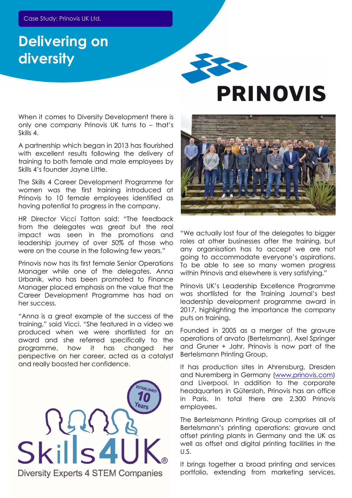## Delivering on diversity



A partnership which began in 2013 has flourished with excellent results following the delivery of training to both female and male employees by Skills 4's founder Jayne Little.

The Skills 4 Career Development Programme for women was the first training introduced at Prinovis to 10 female employees identified as having potential to progress in the company.

HR Director Vicci Tatton said: "The feedback from the delegates was great but the real impact was seen in the promotions and leadership journey of over 50% of those who were on the course in the following few years."

Prinovis now has its first female Senior Operations Manager while one of the delegates, Anna Urbanik, who has been promoted to Finance Manager placed emphasis on the value that the Career Development Programme has had on her success.

"Anna is a great example of the success of the training," said Vicci. "She featured in a video we produced when we were shortlisted for an award and she referred specifically to the programme, how it has changed her perspective on her career, acted as a catalyst and really boosted her confidence.



## **PRINOVIS**



"We actually lost four of the delegates to bigger roles at other businesses after the training, but any organisation has to accept we are not going to accommodate everyone's aspirations. To be able to see so many women progress within Prinovis and elsewhere is very satisfying."

Prinovis UK's Leadership Excellence Programme was shortlisted for the Training Journal's best leadership development programme award in 2017, highlighting the importance the company puts on training.

Founded in 2005 as a merger of the gravure operations of arvato (Bertelsmann), Axel Springer and Gruner + Jahr, Prinovis is now part of the Bertelsmann Printing Group.

It has production sites in Ahrensburg, Dresden and Nuremberg in Germany (www.prinovis.com) and Liverpool. In addition to the corporate headquarters in Gütersloh, Prinovis has an office in Paris. In total there are 2,300 Prinovis employees.

The Bertelsmann Printing Group comprises all of Bertelsmann's printing operations: gravure and offset printing plants in Germany and the UK as well as offset and digital printing facilities in the U.S.

It brings together a broad printing and services portfolio, extending from marketing services,